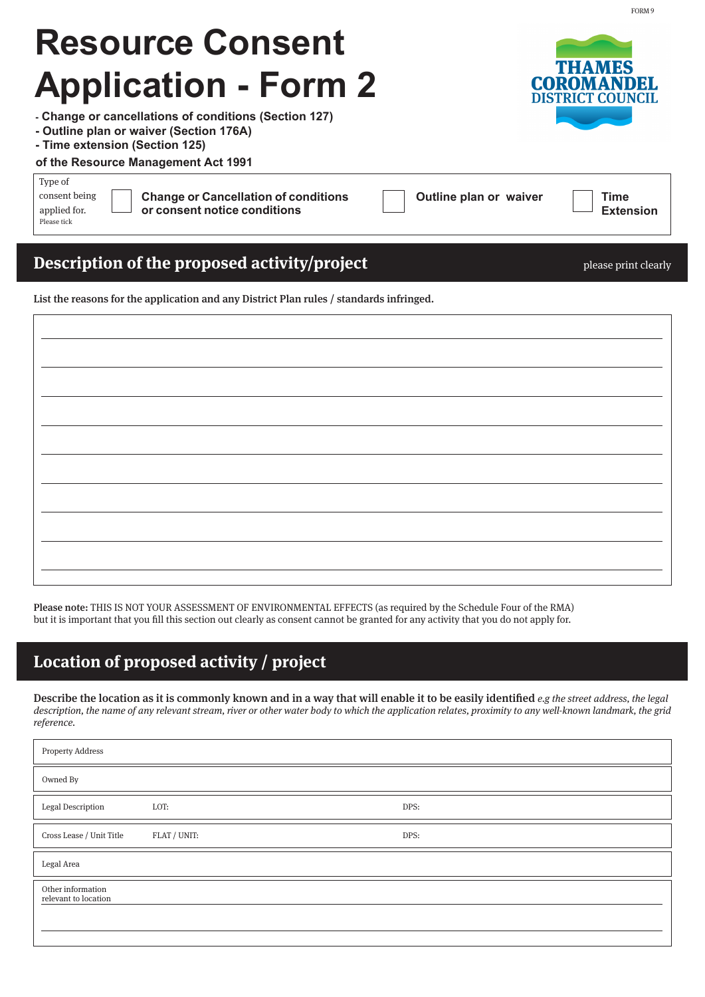| INGSUULGE COIISEIIL<br><b>Application - Form 2</b><br>- Change or cancellations of conditions (Section 127)<br>- Outline plan or waiver (Section 176A)<br>- Time extension (Section 125) | <b>THAMES</b><br><b>COROMANDEL</b><br><b>DISTRICT COUNCIL</b> |
|------------------------------------------------------------------------------------------------------------------------------------------------------------------------------------------|---------------------------------------------------------------|
| of the Resource Management Act 1991<br>Type of<br>consent being<br><b>Change or Cancellation of conditions</b><br>or consent notice conditions<br>applied for.<br>Please tick            | Outline plan or waiver<br>Time<br><b>Extension</b>            |

### **Description of the proposed activity/project** policy and the please print clearly

**Resource Consent** 

List the reasons for the application and any District Plan rules / standards infringed.

| <u> 1989 - Jan Samuel Barbara, margaret eta idazlea (h. 1989).</u>                        |  |
|-------------------------------------------------------------------------------------------|--|
|                                                                                           |  |
|                                                                                           |  |
|                                                                                           |  |
|                                                                                           |  |
|                                                                                           |  |
|                                                                                           |  |
|                                                                                           |  |
|                                                                                           |  |
|                                                                                           |  |
|                                                                                           |  |
|                                                                                           |  |
|                                                                                           |  |
|                                                                                           |  |
|                                                                                           |  |
|                                                                                           |  |
|                                                                                           |  |
|                                                                                           |  |
|                                                                                           |  |
|                                                                                           |  |
|                                                                                           |  |
|                                                                                           |  |
|                                                                                           |  |
|                                                                                           |  |
|                                                                                           |  |
|                                                                                           |  |
|                                                                                           |  |
|                                                                                           |  |
|                                                                                           |  |
|                                                                                           |  |
|                                                                                           |  |
|                                                                                           |  |
|                                                                                           |  |
|                                                                                           |  |
|                                                                                           |  |
|                                                                                           |  |
|                                                                                           |  |
|                                                                                           |  |
|                                                                                           |  |
|                                                                                           |  |
| the control of the control of the control of the control of the control of the control of |  |
|                                                                                           |  |
|                                                                                           |  |
|                                                                                           |  |

Please note: THIS IS NOT YOUR ASSESSMENT OF ENVIRONMENTAL EFFECTS (as required by the Schedule Four of the RMA) but it is important that you fill this section out clearly as consent cannot be granted for any activity that you do not apply for.

### **Location of proposed activity / project**

Describe the location as it is commonly known and in a way that will enable it to be easily identified  $e.g$  the street address, the legal description, the name of any relevant stream, river or other water body to which the application relates, proximity to any well-known landmark, the grid reference.

| <b>Property Address</b>                   |              |      |
|-------------------------------------------|--------------|------|
| Owned By                                  |              |      |
| Legal Description                         | LOT:         | DPS: |
| Cross Lease / Unit Title                  | FLAT / UNIT: | DPS: |
| Legal Area                                |              |      |
| Other information<br>relevant to location |              |      |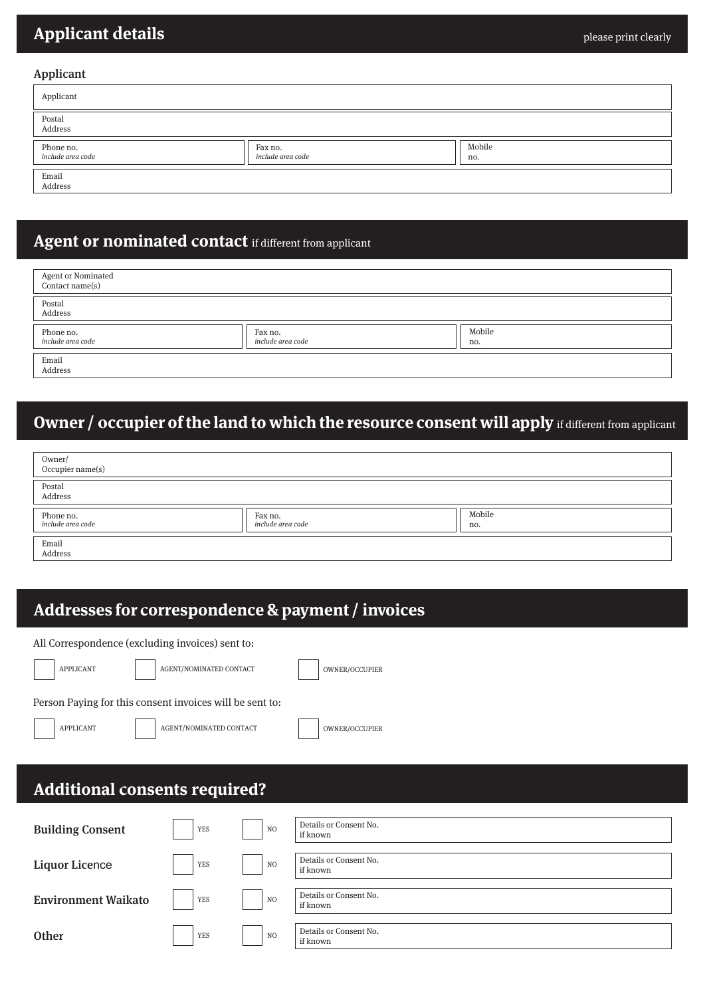# **Applicant details**

#### Applicant

| Applicant                      |                              |               |
|--------------------------------|------------------------------|---------------|
| Postal<br>Address              |                              |               |
| Phone no.<br>include area code | Fax no.<br>include area code | Mobile<br>no. |
| Email<br>Address               |                              |               |

### **Agent or nominated contact** if different from applicant

| Agent or Nominated<br>Contact name(s) |                              |               |
|---------------------------------------|------------------------------|---------------|
| Postal<br>Address                     |                              |               |
| Phone no.<br>include area code        | Fax no.<br>include area code | Mobile<br>no. |
| Email<br>Address                      |                              |               |

# **Owner / occupier of the land to which the resource consent will apply** if different from applicant

| Owner/<br>Occupier name(s)     |                              |               |
|--------------------------------|------------------------------|---------------|
| Postal<br>Address              |                              |               |
| Phone no.<br>include area code | Fax no.<br>include area code | Mobile<br>no. |
| Email<br>Address               |                              |               |

## **Addresses for correspondence & payment / invoices**

|                                                          | All Correspondence (excluding invoices) sent to: |                |                                    |  |  |  |  |
|----------------------------------------------------------|--------------------------------------------------|----------------|------------------------------------|--|--|--|--|
| <b>APPLICANT</b>                                         | AGENT/NOMINATED CONTACT                          |                | OWNER/OCCUPIER                     |  |  |  |  |
| Person Paying for this consent invoices will be sent to: |                                                  |                |                                    |  |  |  |  |
| <b>APPLICANT</b>                                         | AGENT/NOMINATED CONTACT                          |                | OWNER/OCCUPIER                     |  |  |  |  |
|                                                          | <b>Additional consents required?</b>             |                |                                    |  |  |  |  |
|                                                          |                                                  |                |                                    |  |  |  |  |
| <b>Building Consent</b>                                  | <b>YES</b>                                       | N <sub>O</sub> | Details or Consent No.<br>if known |  |  |  |  |
| <b>Liquor Licence</b>                                    | <b>YES</b>                                       | N <sub>O</sub> | Details or Consent No.<br>if known |  |  |  |  |
| <b>Environment Waikato</b>                               | <b>YES</b>                                       | N <sub>O</sub> | Details or Consent No.<br>if known |  |  |  |  |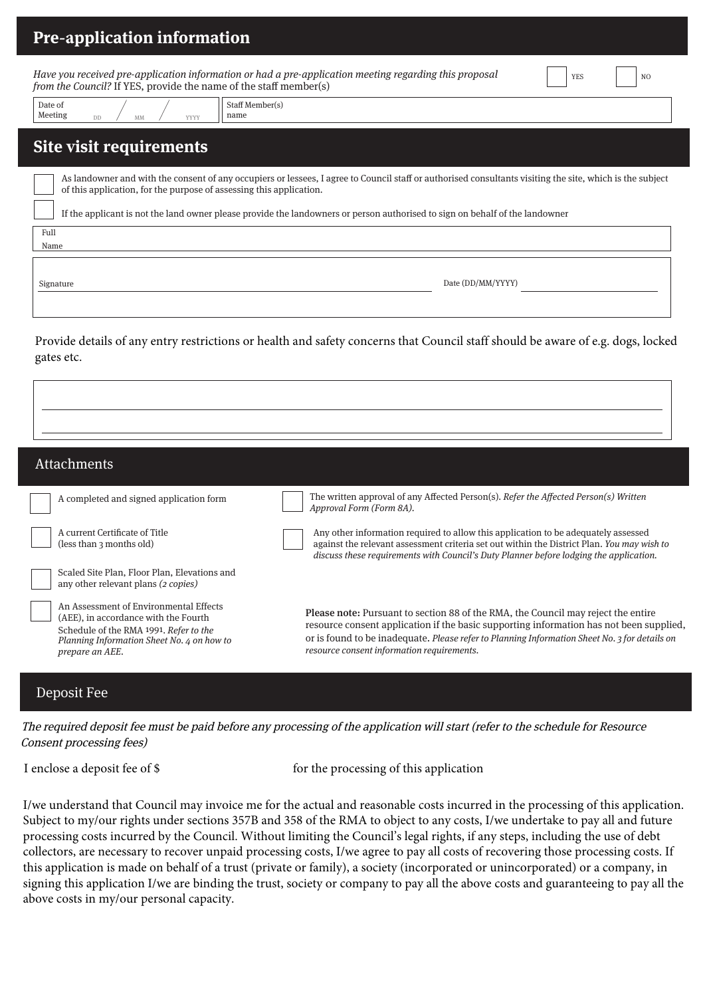| <b>Pre-application information</b>                                                                                                                                                                                               |  |  |  |  |  |  |
|----------------------------------------------------------------------------------------------------------------------------------------------------------------------------------------------------------------------------------|--|--|--|--|--|--|
| Have you received pre-application information or had a pre-application meeting regarding this proposal<br><b>YES</b><br>N <sub>O</sub><br>from the Council? If YES, provide the name of the staff member(s)                      |  |  |  |  |  |  |
| Staff Member(s)<br>Date of<br>Meeting<br>name<br>YYYY                                                                                                                                                                            |  |  |  |  |  |  |
| Site visit requirements                                                                                                                                                                                                          |  |  |  |  |  |  |
| As landowner and with the consent of any occupiers or lessees, I agree to Council staff or authorised consultants visiting the site, which is the subject<br>of this application, for the purpose of assessing this application. |  |  |  |  |  |  |
| If the applicant is not the land owner please provide the landowners or person authorised to sign on behalf of the landowner                                                                                                     |  |  |  |  |  |  |
| Full<br>Name                                                                                                                                                                                                                     |  |  |  |  |  |  |
| Date (DD/MM/YYYY)<br>Signature                                                                                                                                                                                                   |  |  |  |  |  |  |

Provide details of any entry restrictions or health and safety concerns that Council staff should be aware of e.g. dogs, locked gates etc.

| <b>Attachments</b>                                                                                                                                                                        |                                                                                                                                                                                                                                                                                                                                    |
|-------------------------------------------------------------------------------------------------------------------------------------------------------------------------------------------|------------------------------------------------------------------------------------------------------------------------------------------------------------------------------------------------------------------------------------------------------------------------------------------------------------------------------------|
| A completed and signed application form                                                                                                                                                   | The written approval of any Affected Person(s). Refer the Affected Person(s) Written<br>Approval Form (Form 8A).                                                                                                                                                                                                                   |
| A current Certificate of Title<br>(less than 3 months old)                                                                                                                                | Any other information required to allow this application to be adequately assessed<br>against the relevant assessment criteria set out within the District Plan. You may wish to<br>discuss these requirements with Council's Duty Planner before lodging the application.                                                         |
| Scaled Site Plan, Floor Plan, Elevations and<br>any other relevant plans (2 copies)                                                                                                       |                                                                                                                                                                                                                                                                                                                                    |
| An Assessment of Environmental Effects<br>(AEE), in accordance with the Fourth<br>Schedule of the RMA 1991. Refer to the<br>Planning Information Sheet No. 4 on how to<br>prepare an AEE. | <b>Please note:</b> Pursuant to section 88 of the RMA, the Council may reject the entire<br>resource consent application if the basic supporting information has not been supplied.<br>or is found to be inadequate. Please refer to Planning Information Sheet No. 3 for details on<br>resource consent information requirements. |
| Deposit Fee                                                                                                                                                                               |                                                                                                                                                                                                                                                                                                                                    |

The required deposit fee must be paid before any processing of the application will start (refer to the schedule for Resource Consent processing fees)

I enclose a deposit fee of \$ for the processing of this application

I/we understand that Council may invoice me for the actual and reasonable costs incurred in the processing of this application. Subject to my/our rights under sections 357B and 358 of the RMA to object to any costs, I/we undertake to pay all and future processing costs incurred by the Council. Without limiting the Council's legal rights, if any steps, including the use of debt collectors, are necessary to recover unpaid processing costs, I/we agree to pay all costs of recovering those processing costs. If this application is made on behalf of a trust (private or family), a society (incorporated or unincorporated) or a company, in signing this application I/we are binding the trust, society or company to pay all the above costs and guaranteeing to pay all the above costs in my/our personal capacity.